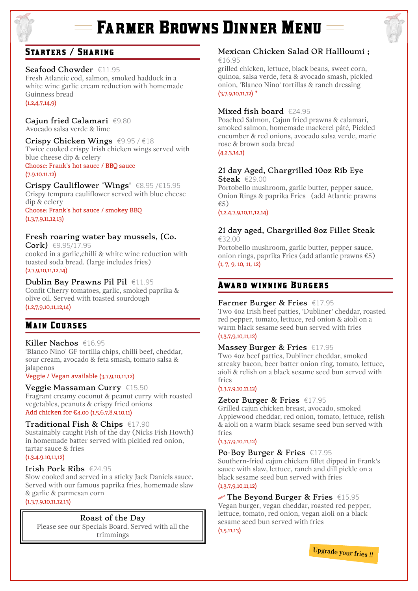# **Farmer Browns Dinner Menu**



# STARTERS / SHARING

## Seafood Chowder  $f(1.95)$

Fresh Atlantic cod, salmon, smoked haddock in a white wine garlic cream reduction with homemade Guinness bread  $(1,2,4,7,14,9)$ 

#### Cajun fried Calamari €9.80 Avocado salsa verde & lime

Crispy Chicken Wings  $\epsilon$ 9.95 /  $\epsilon$ 18 Twice cooked crispy Irish chicken wings served with

blue cheese dip & celery Choose: Frank's hot sauce / BBQ sauce (7.9.10.11.12)

Crispy Cauliflower 'Wings' €8.95 /€15.95 Crispy tempura cauliflower served with blue cheese dip & celery

Choose: Frank's hot sauce / smokey BBQ  $(1,3,7,9,11,12,13)$ 

# Fresh roaring water bay mussels, (Co.

Cork) €9.95/17.95 cooked in a garlic,chilli & white wine reduction with toasted soda bread. (large includes fries)  $(2,7,9,10,11,12,14)$ 

## Dublin Bay Prawns Pil Pil €11.95

Confit Cherry tomatoes, garlic, smoked paprika & olive oil. Served with toasted sourdough  $(1,2,7,9,10,11,12,14)$ 

# **MAIN COURSES**

Killer Nachos €16.95 'Blanco Nino' GF tortilla chips, chilli beef, cheddar, sour cream, avocado & feta smash, tomato salsa & jalapenos

#### Veggie / Vegan available (3,7,9,10,11,12)

## Veggie Massaman Curry €15.50

Fragrant creamy coconut & peanut curry with roasted vegetables, peanuts & crispy fried onions Add chicken for €4.00 (1,5,6,7,8,9,10,11)

## Traditional Fish & Chips €17.90

Sustainably caught Fish of the day (Nicks Fish Howth) in homemade batter served with pickled red onion, tartar sauce & fries

(1.3.4.9.10,11,12)

#### Irish Pork Ribs €24.95

Slow cooked and served in a sticky Jack Daniels sauce. Served with our famous paprika fries, homemade slaw & garlic & parmesan corn  $(1,3,7,9,10,11,12,13)$ 

## Roast of the Day

Please see our Specials Board. Served with all the trimmings

# Mexican Chicken Salad OR Hallloumi ;

€16.95

grilled chicken, lettuce, black beans, sweet corn, quinoa, salsa verde, feta & avocado smash, pickled onion, 'Blanco Nino' tortillas & ranch dressing  $(3.7.9.10.11.12)$  \*

## Mixed fish board €24.95

Poached Salmon, Cajun fried prawns & calamari, smoked salmon, homemade mackerel pâté, Pickled cucumber & red onions, avocado salsa verde, marie rose & brown soda bread

## $(A.2,3,14,1)$

#### 21 day Aged, Chargrilled 10oz Rib Eye Steak  $\epsilon$ 29.00

Portobello mushroom, garlic butter, pepper sauce, Onion Rings & paprika Fries (add Atlantic prawns €5)

 $(1,2,4,7,9,10,11,12,14)$ 

# 21 day aged, Chargrilled 8oz Fillet Steak

€32.00 Portobello mushroom, garlic butter, pepper sauce, onion rings, paprika Fries (add atlantic prawns €5) (1, 7, 9, 10, 11, 12)

# Award winning Burgers

## Farmer Burger & Fries €17.95

Two 4oz Irish beef patties, 'Dubliner' cheddar, roasted red pepper, tomato, lettuce, red onion & aioli on a warm black sesame seed bun served with fries  $(1,3,7,9,10,11,12)$ 

#### Massey Burger & Fries €17.95

Two 4oz beef patties, Dubliner cheddar, smoked streaky bacon, beer batter onion ring, tomato, lettuce, aioli & relish on a black sesame seed bun served with fries

#### $(1, 3, 7, 9, 10, 11, 12)$

## Zetor Burger & Fries €17.95

Grilled cajun chicken breast, avocado, smoked Applewood cheddar, red onion, tomato, lettuce, relish & aioli on a warm black sesame seed bun served with fries

#### $(1,3,7,9,10,11,12)$

## Po-Boy Burger & Fries €17.95

Southern-fried cajun chicken fillet dipped in Frank's sauce with slaw, lettuce, ranch and dill pickle on a black sesame seed bun served with fries  $(1,3,7,9,10,11,12)$ 

# $\mathbb{R}^N$  The Beyond Burger & Fries  $\in$ 15.95 Vegan burger, vegan cheddar, roasted red pepper,

lettuce, tomato, red onion, vegan aioli on a black sesame seed bun served with fries  $(1,5,11,13)$